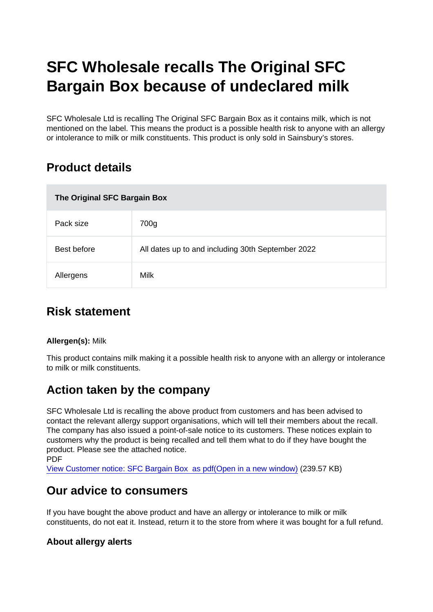# SFC Wholesale recalls The Original SFC Bargain Box because of undeclared milk

SFC Wholesale Ltd is recalling The Original SFC Bargain Box as it contains milk, which is not mentioned on the label. This means the product is a possible health risk to anyone with an allergy or intolerance to milk or milk constituents. This product is only sold in Sainsbury's stores.

## Product details

| The Original SFC Bargain Box |                                                   |
|------------------------------|---------------------------------------------------|
| Pack size                    | 700g                                              |
| Best before                  | All dates up to and including 30th September 2022 |
| Allergens                    | Milk                                              |

### Risk statement

Allergen(s): Milk

This product contains milk making it a possible health risk to anyone with an allergy or intolerance to milk or milk constituents.

## Action taken by the company

SFC Wholesale Ltd is recalling the above product from customers and has been advised to contact the relevant allergy support organisations, which will tell their members about the recall. The company has also issued a point-of-sale notice to its customers. These notices explain to customers why the product is being recalled and tell them what to do if they have bought the product. Please see the attached notice. PDF

[View Customer notice: SFC Bargain Box as pdf\(Open in a new window\)](https://s3-eu-west-1.amazonaws.com/fsa-alerts-files/production/FSA-AA-57-2021/FSA-AA-57-2021-SFC-recalls-The-Original-SFC-Bargain-Box-because-of-undeclared-milk.pdf) (239.57 KB)

#### Our advice to consumers

If you have bought the above product and have an allergy or intolerance to milk or milk constituents, do not eat it. Instead, return it to the store from where it was bought for a full refund.

About allergy alerts